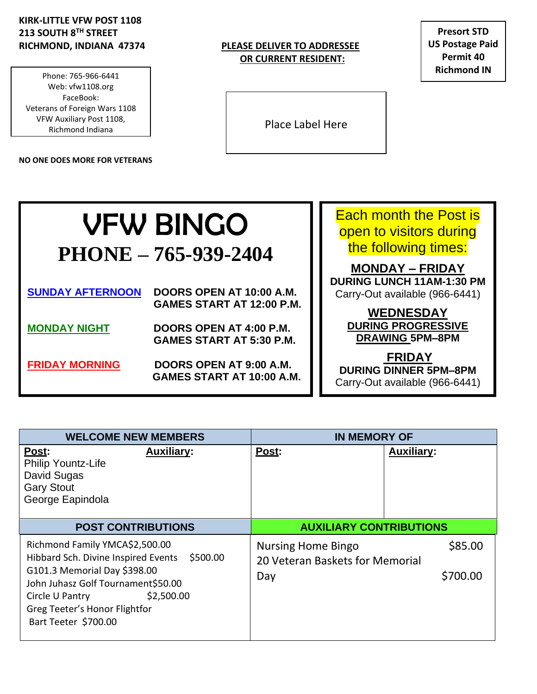### **KIRK-LITTLE VFW POST 1108 213 SOUTH 8TH STREET**

**Phone: 765-966-6441** Phone: 765-966-6441 **Fax: 765-962-9638 Website: vfw1108.org** Web: vfw1108.org **FaceBook** VFW Auxiliary Post 1108, **Veterans of Foreign Wars 1108** Richmond Indiana FaceBook: Veterans of Foreign Wars 1108

**NO ONE DOES MORE FOR VETERANS**

#### **RICHMOND, INDIANA 47374 PLEASE DELIVER TO ADDRESSEE OR CURRENT RESIDENT:**

**Presort STD US Postage Paid Permit 40 Richmond IN**

Place Label Here

# VFW BINGO **PHONE – 765-939-2404**

| <b>SUNDAY AFTERNOON</b> | DOORS OPEN AT 10:00 A.M.<br><b>GAMES START AT 12:00 P.M.</b> |
|-------------------------|--------------------------------------------------------------|
| <b>MONDAY NIGHT</b>     | DOORS OPEN AT 4:00 P.M.<br><b>GAMES START AT 5:30 P.M.</b>   |
| <b>FRIDAY MORNING</b>   | DOORS OPEN AT 9:00 A.M.<br><b>GAMES START AT 10:00 A.M.</b>  |

Each month the Post is open to visitors during the following times:

**MONDAY – FRIDAY DURING LUNCH 11AM-1:30 PM** Carry-Out available (966-6441)

> **WEDNESDAY DURING PROGRESSIVE DRAWING 5PM–8PM**

**FRIDAY DURING DINNER 5PM–8PM** Carry-Out available (966-6441)

| <b>WELCOME NEW MEMBERS</b>                                                                                                                                   | <b>IN MEMORY OF</b>                                                     |  |  |  |
|--------------------------------------------------------------------------------------------------------------------------------------------------------------|-------------------------------------------------------------------------|--|--|--|
| Post:<br><b>Auxiliary:</b><br><b>Philip Yountz-Life</b><br>David Sugas<br><b>Gary Stout</b><br>George Eapindola                                              | Post:<br><b>Auxiliary:</b>                                              |  |  |  |
| <b>POST CONTRIBUTIONS</b>                                                                                                                                    | <b>AUXILIARY CONTRIBUTIONS</b>                                          |  |  |  |
| Richmond Family YMCA\$2,500.00<br>Hibbard Sch. Divine Inspired Events<br>\$500.00                                                                            | \$85.00<br><b>Nursing Home Bingo</b><br>20 Veteran Baskets for Memorial |  |  |  |
| G101.3 Memorial Day \$398.00<br>John Juhasz Golf Tournament\$50.00<br>\$2,500.00<br>Circle U Pantry<br>Greg Teeter's Honor Flightfor<br>Bart Teeter \$700.00 | \$700.00<br>Day                                                         |  |  |  |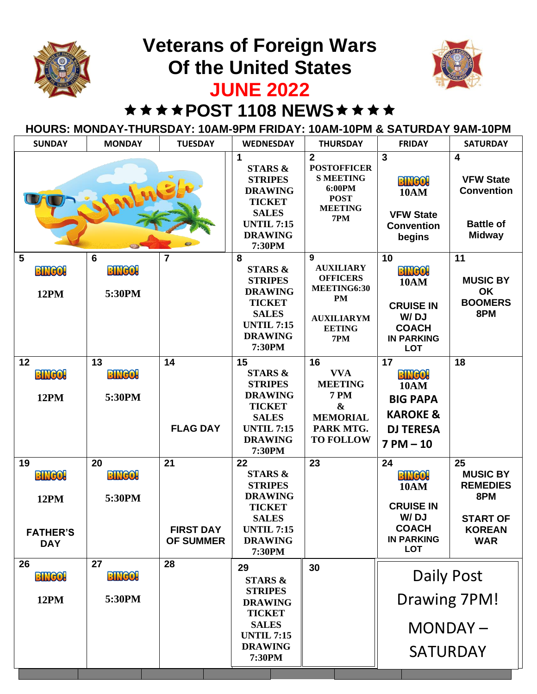## **Veterans of Foreign Wars Of the United States**



## **JUNE 2022**

### \*\*\*\*POST 1108 NEWS\*\*\*\*

#### **HOURS: MONDAY-THURSDAY: 10AM-9PM FRIDAY: 10AM-10PM & SATURDAY 9AM-10PM**

| <b>SUNDAY</b>                                                       | <b>MONDAY</b>                 | <b>TUESDAY</b>                             | <b>WEDNESDAY</b>                                                                                                                               | <b>THURSDAY</b>                                                                                                            | <b>FRIDAY</b>                                                                                                     | <b>SATURDAY</b>                                                                                       |
|---------------------------------------------------------------------|-------------------------------|--------------------------------------------|------------------------------------------------------------------------------------------------------------------------------------------------|----------------------------------------------------------------------------------------------------------------------------|-------------------------------------------------------------------------------------------------------------------|-------------------------------------------------------------------------------------------------------|
|                                                                     |                               |                                            | 1<br><b>STARS &amp;</b><br><b>STRIPES</b><br><b>DRAWING</b><br><b>TICKET</b><br><b>SALES</b><br><b>UNTIL 7:15</b><br><b>DRAWING</b><br>7:30PM  | $\overline{2}$<br><b>POSTOFFICER</b><br><b>S MEETING</b><br>6:00PM<br><b>POST</b><br><b>MEETING</b><br>7PM                 | $\mathbf{3}$<br><b>BINGO!</b><br><b>10AM</b><br><b>VFW State</b><br><b>Convention</b><br>begins                   | $\overline{\mathbf{4}}$<br><b>VFW State</b><br><b>Convention</b><br><b>Battle of</b><br><b>Midway</b> |
| 5<br><b>BINGO!</b><br><b>12PM</b>                                   | 6<br><b>BINGO!</b><br>5:30PM  | $\overline{7}$                             | 8<br><b>STARS &amp;</b><br><b>STRIPES</b><br><b>DRAWING</b><br><b>TICKET</b><br><b>SALES</b><br><b>UNTIL 7:15</b><br><b>DRAWING</b><br>7:30PM  | 9<br><b>AUXILIARY</b><br><b>OFFICERS</b><br>MEETING6:30<br><b>PM</b><br><b>AUXILIARYM</b><br><b>EETING</b><br>7PM          | 10<br><b>BINGO!</b><br><b>10AM</b><br><b>CRUISE IN</b><br>W/DJ<br><b>COACH</b><br><b>IN PARKING</b><br><b>LOT</b> | 11<br><b>MUSIC BY</b><br><b>OK</b><br><b>BOOMERS</b><br>8PM                                           |
| 12<br><b>BINGO!</b><br><b>12PM</b>                                  | 13<br><b>BINGO!</b><br>5:30PM | 14<br><b>FLAG DAY</b>                      | 15<br><b>STARS &amp;</b><br><b>STRIPES</b><br><b>DRAWING</b><br><b>TICKET</b><br><b>SALES</b><br><b>UNTIL 7:15</b><br><b>DRAWING</b><br>7:30PM | 16<br><b>VVA</b><br><b>MEETING</b><br><b>7 PM</b><br>$\boldsymbol{\&}$<br><b>MEMORIAL</b><br>PARK MTG.<br><b>TO FOLLOW</b> | 17<br><b>BINGO!</b><br><b>10AM</b><br><b>BIG PAPA</b><br><b>KAROKE &amp;</b><br><b>DJ TERESA</b><br>$7 PM - 10$   | 18                                                                                                    |
| 19<br><b>BINGO!</b><br><b>12PM</b><br><b>FATHER'S</b><br><b>DAY</b> | 20<br><b>BINGO!</b><br>5:30PM | 21<br><b>FIRST DAY</b><br><b>OF SUMMER</b> | 22<br><b>STARS &amp;</b><br><b>STRIPES</b><br><b>DRAWING</b><br><b>TICKET</b><br><b>SALES</b><br><b>UNTIL 7:15</b><br><b>DRAWING</b><br>7:30PM | 23                                                                                                                         | 24<br><b>BINGO!</b><br><b>10AM</b><br><b>CRUISE IN</b><br>W/DJ<br><b>COACH</b><br><b>IN PARKING</b><br><b>LOT</b> | 25<br><b>MUSIC BY</b><br><b>REMEDIES</b><br>8PM<br><b>START OF</b><br><b>KOREAN</b><br><b>WAR</b>     |
| 26<br><b>BINGO!</b><br><b>12PM</b>                                  | 27<br><b>BINGO!</b><br>5:30PM | 28                                         | 29<br><b>STARS &amp;</b><br><b>STRIPES</b><br><b>DRAWING</b><br><b>TICKET</b><br><b>SALES</b><br><b>UNTIL 7:15</b><br><b>DRAWING</b><br>7:30PM | 30                                                                                                                         | Daily Post<br>Drawing 7PM!<br>MONDAY-<br><b>SATURDAY</b>                                                          |                                                                                                       |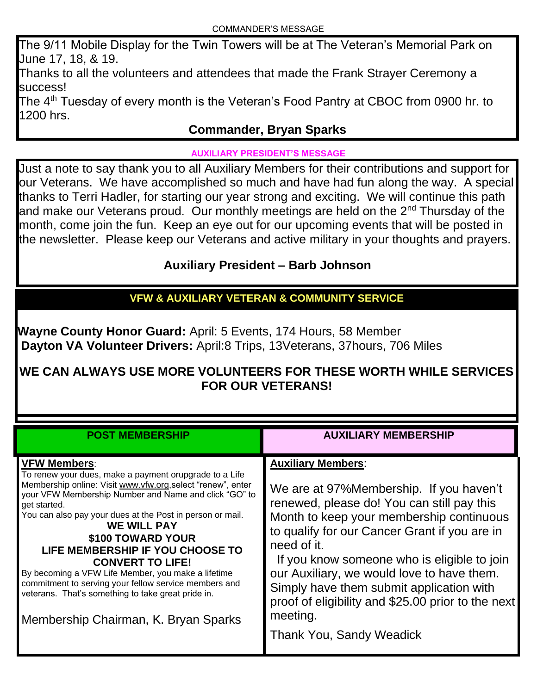The 9/11 Mobile Display for the Twin Towers will be at The Veteran's Memorial Park on June 17, 18, & 19.

Thanks to all the volunteers and attendees that made the Frank Strayer Ceremony a success!

The 4<sup>th</sup> Tuesday of every month is the Veteran's Food Pantry at CBOC from 0900 hr. to 1200 hrs.

#### **Commander, Bryan Sparks**

#### **AUXILIARY PRESIDENT'S MESSAGE**

Just a note to say thank you to all Auxiliary Members for their contributions and support for our Veterans. We have accomplished so much and have had fun along the way. A special thanks to Terri Hadler, for starting our year strong and exciting. We will continue this path and make our Veterans proud. Our monthly meetings are held on the 2<sup>nd</sup> Thursday of the month, come join the fun. Keep an eye out for our upcoming events that will be posted in the newsletter. Please keep our Veterans and active military in your thoughts and prayers.

#### **Auxiliary President – Barb Johnson**

### **VFW & AUXILIARY VETERAN & COMMUNITY SERVICE**

**Wayne County Honor Guard:** April: 5 Events, 174 Hours, 58 Member **Dayton VA Volunteer Drivers:** April:8 Trips, 13Veterans, 37hours, 706 Miles

#### **WE CAN ALWAYS USE MORE VOLUNTEERS FOR THESE WORTH WHILE SERVICES FOR OUR VETERANS!**

| <b>POST MEMBERSHIP</b>                                                                                                                                                                                                                                                                                                                                                                                                                                                                                                                                                                                    | <b>AUXILIARY MEMBERSHIP</b>                                                                                                                                                                                                                                                                                                                                                                                                                                                   |
|-----------------------------------------------------------------------------------------------------------------------------------------------------------------------------------------------------------------------------------------------------------------------------------------------------------------------------------------------------------------------------------------------------------------------------------------------------------------------------------------------------------------------------------------------------------------------------------------------------------|-------------------------------------------------------------------------------------------------------------------------------------------------------------------------------------------------------------------------------------------------------------------------------------------------------------------------------------------------------------------------------------------------------------------------------------------------------------------------------|
| <b>VFW Members:</b><br>To renew your dues, make a payment orupgrade to a Life<br>Membership online: Visit www.vfw.org, select "renew", enter<br>your VFW Membership Number and Name and click "GO" to<br>get started.<br>You can also pay your dues at the Post in person or mail.<br><b>WE WILL PAY</b><br>\$100 TOWARD YOUR<br>LIFE MEMBERSHIP IF YOU CHOOSE TO<br><b>CONVERT TO LIFE!</b><br>By becoming a VFW Life Member, you make a lifetime<br>commitment to serving your fellow service members and<br>veterans. That's something to take great pride in.<br>Membership Chairman, K. Bryan Sparks | <b>Auxiliary Members:</b><br>We are at 97% Membership. If you haven't<br>renewed, please do! You can still pay this<br>Month to keep your membership continuous<br>to qualify for our Cancer Grant if you are in<br>need of it.<br>If you know someone who is eligible to join<br>our Auxiliary, we would love to have them.<br>Simply have them submit application with<br>proof of eligibility and \$25.00 prior to the next<br>meeting.<br><b>Thank You, Sandy Weadick</b> |